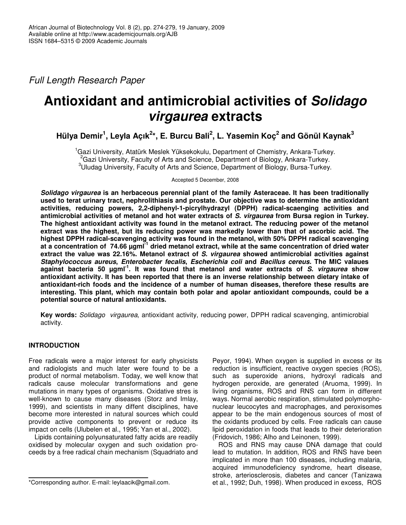*Full Length Research Paper*

# **Antioxidant and antimicrobial activities of** *Solidago virgaurea* **extracts**

Hülya Demir<sup>1</sup>, Leyla Açık<sup>2</sup>\*, E. Burcu Bali<sup>2</sup>, L. Yasemin Koç<sup>2</sup> and Gönül Kaynak<sup>3</sup>

<sup>1</sup>Gazi University, Atatürk Meslek Yüksekokulu, Department of Chemistry, Ankara-Turkey. <sup>2</sup>Gazi University, Faculty of Arts and Science, Department of Biology, Ankara-Turkey.  $3$ Uludag University, Faculty of Arts and Science, Department of Biology, Bursa-Turkey.

Accepted 5 December, 2008

*Solidago virgaurea* **is an herbaceous perennial plant of the family Asteraceae. It has been traditionally used to terat urinary tract, nephrolithiasis and prostate. Our objective was to determine the antioxidant activities, reducing powers, 2,2-diphenyl-1-picrylhydrazyl (DPPH) radical-scaenging activities and antimicrobial activities of metanol and hot water extracts of** *S. virgaurea* **from Bursa region in Turkey. The highest antioxidant activity was found in the metanol extract. The reducing power of the metanol extract was the highest, but its reducing power was markedly lower than that of ascorbic acid. The highest DPPH radical-scavenging activity was found in the metanol, with 50% DPPH radical scavenging** at a concentration of 74.66 µgml dried metanol extract, while at the same concentration of dried water **extract the value was 22.16%. Metanol extract of** *S. virgaurea* **showed antimicrobial activities against** *Staphylococcus aureus***,** *Enterobacter fecalis***,** *Escherichia coli* **and** *Bacillus cereus.* **The MIC valaues against bacteria 50 µgml -1 . It was found that metanol and water extracts of** *S. virgaurea* **show antioxidant activity. It has been reported that there is an inverse relationship between dietary intake of antioxidant-rich foods and the incidence of a number of human diseases, therefore these results are interesting. This plant, which may contain both polar and apolar antioxidant compounds, could be a potential source of natural antioxidants.**

**Key words:** *Solidago virgaurea*, antioxidant activity, reducing power, DPPH radical scavenging, antimicrobial activity.

## **INTRODUCTION**

Free radicals were a major interest for early physicists and radiologists and much later were found to be a product of normal metabolism. Today, we well know that radicals cause molecular transformations and gene mutations in many types of organisms. Oxidative stres is well-known to cause many diseases (Storz and Imlay, 1999), and scientists in many diffent disciplines, have become more interested in natural sources which could provide active components to prevent or reduce its impact on cells (Ulubelen et al., 1995; Yan et al., 2002).

Lipids containing polyunsaturated fatty acids are readily oxidised by molecular oxygen and such oxidation proceeds by a free radical chain mechanism (Squadriato and

Peyor, 1994). When oxygen is supplied in excess or its reduction is insufficient, reactive oxygen species (ROS), such as superoxide anions, hydroxyl radicals and hydrogen peroxide, are generated (Aruoma, 1999). In living organisms, ROS and RNS can form in different ways. Normal aerobic respiration, stimulated polymorphonuclear leucocytes and macrophages, and peroxisomes appear to be the main endogenous sources of most of the oxidants produced by cells. Free radicals can cause lipid peroxidation in foods that leads to their deterioration (Fridovich, 1986; Alho and Leinonen, 1999).

ROS and RNS may cause DNA damage that could lead to mutation. In addition, ROS and RNS have been implicated in more than 100 diseases, including malaria, acquired immunodeficiency syndrome, heart disease, stroke, arteriosclerosis, diabetes and cancer (Tanizawa et al., 1992; Duh, 1998). When produced in excess, ROS

<sup>\*</sup>Corresponding author. E-mail: leylaacik@gmail.com.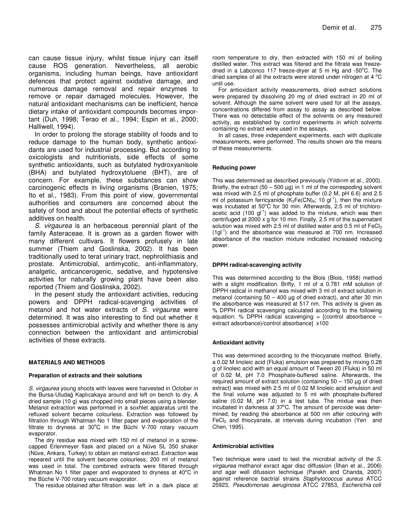can cause tissue injury, whilst tissue injury can itself cause ROS generation. Nevertheless, all aerobic organisms, including human beings, have antioxidant defences that protect against oxidative damage, and numerous damage removal and repair enzymes to remove or repair damaged molecules. However, the natural antioxidant mechanisms can be inefficient, hence dietary intake of antioxidant compounds becomes important (Duh, 1998; Terao et al., 1994; Espin et al., 2000; Halliwell, 1994).

In order to prolong the storage stability of foods and to reduce damage to the human body, synthetic antioxidants are used for industrial processing. But according to oxicologists and nutritionists, side effects of some synthetic antioxidants, such as butylated hydroxyanisole (BHA) and butylated hydroxytoluene (BHT), are of concern. For example, these substances can show carcinogenic effects in living organisms (Branien, 1975; Ito et al., 1983). From this point of view, governmental authorities and consumers are concerned about the safety of food and about the potential effects of synthetic additives on health.

*S. virgaurea* is an herbaceous perennial plant of the family Asteraceae. It is grown as a garden flower with many different cultivars. It flowers profusely in late summer (Thiem and Goslinska, 2002). It has been traditionally used to terat urinary tract, nephrolithiasis and prostate. Antimicrobial, antimycotic, anti-inflammatory, analgetic, anticancerogenic, sedative, and hypotensive activities for naturally growing plant have been also reported (Thiem and Goslinska, 2002).

In the pesent study the antioxidant activities, reducing powers and DPPH radical-scavenging activities of metanol and hot water extracts of *S*. *virgaurea* were determined. It was also interesting to find out whether it possesses antimicrobial activity and whether there is any connection between the antioxidant and antimicrobial activities of these extracts.

#### **MATERIALS AND METHODS**

#### **Preparation of extracts and their solutions**

*S. virgaurea* young shoots with leaves were harvested in October in the Bursa-Uludağ Kaplıcakaya around and left on bench to dry. A dried sample (10 g) was chopped into small pieces using a blender. Metanol extraction was performed in a soxhlet apparatus until the refluxed solvent became colourless. Extraction was followed by filtration through Whatman No 1 filter paper and evaporation of the filtrate to dryness at 30°C in the Büchi V-700 rotary vacuum evaporator.

The dry residue was mixed with 150 ml of metanol in a screwcapped Erlenmeyer flask and placed on a Nüve SL 350 shaker (Nüve, Ankara, Turkey) to obtain an metanol extract. Extraction was repeared until the solvent became colourless; 200 ml of metanol was used in total. The combined extracts were filtered through Whatman No 1 filter paper and evaporated to dryness at 40 $^{\circ}$ C in the Büche V-700 rotary vacuum evaporator.

The residue obtained after filtration was left in a dark place at

room temperature to dry, then extracted with 150 ml of boiling distilled water. This extract was filtered and the filtrate was freezedried in a Labconco 117 freeze-dryer at 5 m Hg and -50°C. The dried samples of all the extracts were stored under nitrogen at 4  $^{\circ}$ C until use.

For antioxidant activity measurements, dried extract solutions were prepared by dissolving 20 mg of dried exctract in 20 ml of solvent. Although the same solvent were used for all the assays, concentrations differed from assay to assay as described below. There was no detectable effect of the solvents on any measured activity, as established by control experiments in which solvents containing no extract were used in the assays.

In all cases, three independent experiments, each with duplicate measurements, were performed. The results shown are the means of these measurements.

#### **Reducing power**

This was determined as described previously (Yıldırım et al., 2000). Briefly, the extract  $(50 - 500 \mu q)$  in 1 ml of the correspoding solvent was mixed with 2.5 ml of phosphate buffer (0.2 M, pH 6.6) and 2.5 ml of potassium ferricyanide ( $K_3Fe(CN)_6$ ; 10 gl<sup>-1</sup>), then the mixture was incubated at 50°C for 30 min. Afterwards, 2.5 ml of trichloroacetic acid (100  $gI^{-1}$ ) was added to the mixture, which was then centrifuged at 2000 x g for 10 min. Finally, 2.5 ml of the supernatant solution was mixed with 2.5 ml of distilled water and 0.5 ml of FeCl<sub>3</sub>  $(1gl<sup>-1</sup>)$  and the absorbance was measured at 700 nm. Increased absorbance of the reaction mixture indicated increased reducing power.

#### **DPPH radical-scavenging activity**

This was determined according to the Blois (Blois, 1958) method with a slight modification. Brifty, 1 ml of a 0.781 mM solution of DPPH radical in methanol was mixed with 3 ml of extract solution in metanol (containing  $50 - 400 \mu$ g of dried extract), and after 30 min the absorbance was measured at 517 nm. This activity is given as % DPPH radical scavenging calculated according to the following equation: % DPPH radical scavenging =  $[(control)$  absorbance extract adsorbance)/control absorbance] x100

#### **Antioxidant activity**

This was determined according to the thiocyanate method. Briefly, a 0.02 M linoleic acid (Fluka) emulsion was prepared by mixing 0.28 g of linoleic acid with an equal amount of Tween 20 (Fluka) in 50 ml of 0.02 M, pH 7.0 Phosphate-buffered saline. Afterwards, the required amount of extract solution (containing 50 – 150 µg of dried extract) was mixed with 2.5 ml of 0.02 M linoleic acid emulsion and the final volume was adjusted to 5 ml with phosphate-buffered saline (0.02 M, pH 7.0) in a test tube. The mixtue was then incubated in darkness at  $37^{\circ}$ C. The amount of peroxide was determined, by reading the absorbance at 500 nm after colouring with  $FeCl<sub>2</sub>$  and thiocyanate, at intervals during incubation (Yen and Chen, 1995).

## **Antimicrobial activities**

Two technique were used to test the microbial activity of the *S. virgaurea* methanol exract agar disc diffussion (Ilhan et al., 2006) and agar well difussion technique (Parekh and Chanda, 2007) against reference bactrial strains *Staphylococcus aureus* ATCC 25923, *Pseudomonas aeruginosa* ATCC 27853, *Escherichia coli*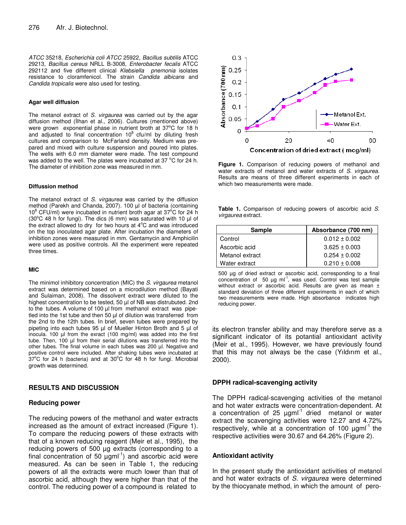*ATCC* 35218, *Escherichia coli ATCC* 25922, *Bacillus subtilis* ATCC 29213, *Bacillus cereus* NRLL B-3008, *Enterobacter fecalis* ATCC 292112 and five different clinical *Klebsiella pnemonia* isolates resistance to cloramfenicol. The strain *Candida albicans* and *Candida tropicalis* were also used for testing.

### **Agar well diffusion**

The metanol extract of *S. virgaurea* was carried out by the agar diffusion method (İlhan et al., 2006). Cultures (mentioned above) were grown exponential phase in nutrient broth at 37°C for 18 h and adjusted to final concentration  $10^8$  cfu/ml by diluting fresh cultures and comparison to McFarland density. Medium was prepared and mixed with culture suspension and poured into plates. The wells with 6.0 mm diameter were made. The test compound was added to the well. The plates were incubated at 37 °C for 24 h. The diameter of inhibition zone was measured in mm.

#### **Diffussion method**

The metanol extract of *S. virgaurea* was carried by the diffusion method (Parekh and Chanda, 2007). 100 µl of bacteria (containing  $10^8$  CFU/ml) were incubated in nutrient broth agar at 37 $^{\circ}$ C for 24 h (30 $^{\circ}$ C 48 h for fungi). The dics (6 mm) was saturated with 10  $\mu$ l of the extract allowed to dry for two hours at  $4^{\circ}$ C and was introduced on the top inoculated agar plate. After incubation the diameters of inhibition zones were measured in mm. Gentamycin and Amphicilin were used as positive controls. All the experiment were repeated three times.

## **MIC**

The minimol inhibitory concentration (MIC) the *S. virgaurea* metanol extract was determined based on a microdilution method (Bayati and Sulaiman, 2008). The dissolvent extract were diluted to the highest concentration to be tested, 50 µl of NB was distrubuted. 2nd to the tubes. A volume of 100 µl from methanol extract was pipetled into the 1st tube and then 50 µl of dilution was transferred from the 2nd to the 12th tubes. In brief, seven tubes were prepared by pipeting into each tubes 95 µl of Mueller Hinton Broth and 5 µl of inocula. 100 µl from the exract (100 mg/ml) was added into the first tube. Then, 100 µl from their serial dilutions was transferred into the other tubes. The final volume in each tubes was 200 µl. Negative and positive control were included. After shaking tubes were incubated at 37°C for 24 h (bacteria) and at 30°C for 48 h for fungi. Microbial growth was determined.

## **RESULTS AND DISCUSSION**

### **Reducing power**

The reducing powers of the methanol and water extracts increased as the amount of extract increased (Figure 1). To compare the reducing powers of these extracts with that of a known reducing reagent (Meir et al., 1995), the reducing powers of 500 µg extracts (corresponding to a final concentration of 50  $\mu$ gml<sup>-1</sup>) and ascorbic acid were measured. As can be seen in Table 1, the reducing powers of all the extracts were much lower than that of ascorbic acid, although they were higher than that of the control. The reducing power of a compound is related to



**Figure 1.** Comparison of reducing powers of methanol and water extracts of metanol and water extracts of *S. virgaurea.* Results are means of three different experiments in each of which two measurements were made.

|  | <b>Table 1.</b> Comparison of reducing powers of ascorbic acid S. |  |  |  |  |
|--|-------------------------------------------------------------------|--|--|--|--|
|  | <i>virgaurea</i> extract.                                         |  |  |  |  |

| <b>Sample</b>   | Absorbance (700 nm) |  |  |
|-----------------|---------------------|--|--|
| Control         | $0.012 \pm 0.002$   |  |  |
| Ascorbic acid   | $3.625 \pm 0.003$   |  |  |
| Metanol extract | $0.254 \pm 0.002$   |  |  |
| Water extract   | $0.210 \pm 0.008$   |  |  |

500 µg of dried extract or ascorbic acid, corresponding to a final concentration of 50  $\mu$ g ml<sup>-1</sup>, was used. Control was test sample without extract or ascorbic acid. Results are given as mean  $\pm$ standard deviation of three different experiments in each of which two measurements were made. High absorbance indicates high reducing power.

its electron transfer ability and may therefore serve as a significant indicator of its potantial antioxidant activity (Meir et al., 1995). However, we have previously found that this may not always be the case (Yıldırım et al., 2000).

## **DPPH radical-scavenging activity**

The DPPH radical-scavenging activities of the metanol and hot water extracts were concentration-dependent. At a concentration of 25  $\mu$ gml<sup>-1</sup> dried metanol or water extract the scavenging activities were 12.27 and 4.72% respectively, while at a concentration of 100  $\mu$ gml<sup>-1</sup> the respective activities were 30.67 and 64.26% (Figure 2).

## **Antioxidant activity**

In the present study the antioxidant activities of metanol and hot water extracts of *S. virgaurea* were determined by the thiocyanate method, in which the amount of pero-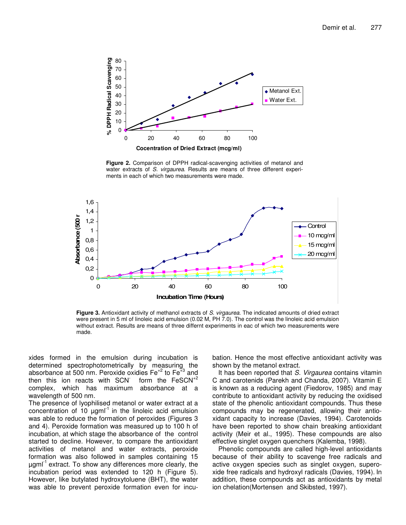

**Figure 2.** Comparison of DPPH radical-scavenging activities of metanol and water extracts of *S. virgaurea*. Results are means of three different experiments in each of which two measurements were made.



**Figure 3.** Antioxidant activity of methanol extracts of *S. virgaurea*. The indicated amounts of dried extract were present in 5 ml of linoleic acid emulsion (0.02 M, PH 7.0). The control was the linoleic acid emulsion without extract. Results are means of three differnt experiments in eac of which two measurements were made.

xides formed in the emulsion during incubation is determined spectrophotometrically by measuring the absorbance at 500 nm. Peroxide oxidies Fe<sup>+2</sup> to Fe<sup>+3</sup> and then this ion reacts with SCN<sup>-</sup> form the FeSCN<sup>+2</sup> complex, which has maximum absorbance at a wavelength of 500 nm.

The presence of lyophilised metanol or water extract at a concentration of 10  $\mu$ gml<sup>-1</sup> in the linoleic acid emulsion was able to reduce the formation of peroxides (Figures 3 and 4). Peroxide formation was measured up to 100 h of incubation, at which stage the absorbance of the control started to decline. However, to compare the antioxidant activities of metanol and water extracts, peroxide formation was also followed in samples containing 15 µgml -1 extract. To show any differences more clearly, the incubation period was extended to 120 h (Figure 5). However, like butylated hydroxytoluene (BHT), the water was able to prevent peroxide formation even for incubation. Hence the most effective antioxidant activity was shown by the metanol extract.

It has been reported that *S. Virgaurea* contains vitamin C and carotenids (Parekh and Chanda, 2007). Vitamin E is known as a reducing agent (Fiedorov, 1985) and may contribute to antioxidant activity by reducing the oxidised state of the phenolic antioxidant compounds. Thus these compounds may be regenerated, allowing their antioxidant capacity to increase (Davies, 1994). Carotenoids have been reported to show chain breaking antioxidant activity (Meir et al., 1995). These compounds are also effective singlet oxygen quenchers (Kalemba, 1998).

Phenolic compounds are called high-level antioxidants because of their ability to scavenge free radicals and active oxygen species such as singlet oxygen, superoxide free radicals and hydroxyl radicals (Davies, 1994). In addition, these compounds act as antioxidants by metal ion chelation(Mortensen and Skibsted, 1997).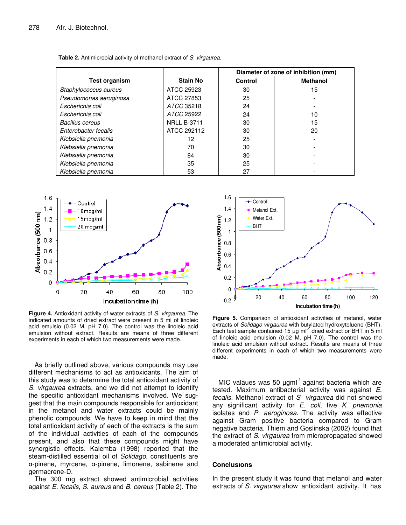|  | Table 2. Antimicrobial activity of methanol extract of S. virgaurea. |  |
|--|----------------------------------------------------------------------|--|
|--|----------------------------------------------------------------------|--|

|                        |                    | Diameter of zone of inhibition (mm) |                 |  |
|------------------------|--------------------|-------------------------------------|-----------------|--|
| <b>Test organism</b>   | <b>Stain No</b>    | <b>Control</b>                      | <b>Methanol</b> |  |
| Staphylococcus aureus  | ATCC 25923         | 30                                  | 15              |  |
| Pseudomonas aeruginosa | ATCC 27853         | 25                                  |                 |  |
| Escherichia coli       | ATCC 35218         | 24                                  |                 |  |
| Escherichia coli       | ATCC 25922         | 24                                  | 10              |  |
| Bacillus cereus        | <b>NRLL B-3711</b> | 30                                  | 15              |  |
| Enterobacter fecalis   | ATCC 292112        | 30                                  | 20              |  |
| Klebsiella pnemonia    | 12                 | 25                                  |                 |  |
| Klebsiella pnemonia    | 70                 | 30                                  |                 |  |
| Klebsiella pnemonia    | 84                 | 30                                  |                 |  |
| Klebsiella pnemonia    | 35                 | 25                                  |                 |  |
| Klebsiella pnemonia    | 53                 | 27                                  |                 |  |



**Figure 4.** Antioxidant activity of water extracts of *S. virgaurea.* The indicated amounts of dried extract were present in 5 ml of linoleic acid emulsio (0.02 M, pH 7.0). The control was the linoleic acid emulsion without extract. Results are means of three different experiments in each of which two measurements were made.

As briefly outlined above, various compounds may use different mechanisms to act as antioxidants. The aim of this study was to determine the total antioxidant activity of *S. virgaurea* extracts, and we did not attempt to identify the specific antioxidant mechanisms involved. We suggest that the main compounds responsible for antioxidant in the metanol and water extracts could be mainly phenolic compounds. We have to keep in mind that the total antioxidant activity of each of the extracts is the sum of the individual activities of each of the compounds present, and also that these compounds might have synergistic effects. Kalemba (1998) reported that the steam-distilled essential oil of *Solidago*. constituents are  $\alpha$ -pinene, myrcene,  $\alpha$ -pinene, limonene, sabinene and germacrene-D.

The 300 mg extract showed antimicrobial activities against *E. fecalis*, *S. aureus* and *B. cereus* (Table 2). The



**Figure 5.** Comparison of antioxidant activities of metanol, water extracts of *Solidago virgaurea* with butylated hydroxytoluene (BHT). Each test sample contained 15  $\mu$ g ml<sup>-f</sup> dried extract or BHT in 5 ml of linoleic acid emulsion (0.02 M, pH 7.0). The control was the linoleic acid emulsion without extract. Results are means of three different experiments in each of which two measurements were made.

MIC valaues was 50 µgml<sup>-1</sup> against bacteria which are tested. Maximum antibacterial activity was against *E. fecalis*. Methanol extract of *S virgaurea* did not showed any significant activity for *E. coli*, five *K. pnemonia* isolates and *P. aeroginosa*. The activity was effective against Gram positive bacteria compared to Gram negative bacteria. Thiem and Goslinska (2002) found that the extract of *S. virgaurea* from micropropagated showed a moderated antimicrobial activity.

## **Conclusıons**

In the present study it was found that metanol and water extracts of *S. virgaurea* show antioxidant activity. It has